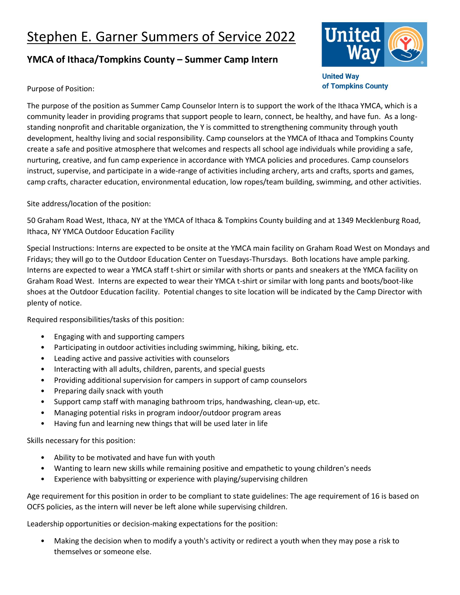## Stephen E. Garner Summers of Service 2022

## **YMCA of Ithaca/Tompkins County – Summer Camp Intern**



**United Way** of Tompkins County

## Purpose of Position:

The purpose of the position as Summer Camp Counselor Intern is to support the work of the Ithaca YMCA, which is a community leader in providing programs that support people to learn, connect, be healthy, and have fun. As a longstanding nonprofit and charitable organization, the Y is committed to strengthening community through youth development, healthy living and social responsibility. Camp counselors at the YMCA of Ithaca and Tompkins County create a safe and positive atmosphere that welcomes and respects all school age individuals while providing a safe, nurturing, creative, and fun camp experience in accordance with YMCA policies and procedures. Camp counselors instruct, supervise, and participate in a wide-range of activities including archery, arts and crafts, sports and games, camp crafts, character education, environmental education, low ropes/team building, swimming, and other activities.

Site address/location of the position:

50 Graham Road West, Ithaca, NY at the YMCA of Ithaca & Tompkins County building and at 1349 Mecklenburg Road, Ithaca, NY YMCA Outdoor Education Facility

Special Instructions: Interns are expected to be onsite at the YMCA main facility on Graham Road West on Mondays and Fridays; they will go to the Outdoor Education Center on Tuesdays-Thursdays. Both locations have ample parking. Interns are expected to wear a YMCA staff t-shirt or similar with shorts or pants and sneakers at the YMCA facility on Graham Road West. Interns are expected to wear their YMCA t-shirt or similar with long pants and boots/boot-like shoes at the Outdoor Education facility. Potential changes to site location will be indicated by the Camp Director with plenty of notice.

Required responsibilities/tasks of this position:

- Engaging with and supporting campers
- Participating in outdoor activities including swimming, hiking, biking, etc.
- Leading active and passive activities with counselors
- Interacting with all adults, children, parents, and special guests
- Providing additional supervision for campers in support of camp counselors
- Preparing daily snack with youth
- Support camp staff with managing bathroom trips, handwashing, clean-up, etc.
- Managing potential risks in program indoor/outdoor program areas
- Having fun and learning new things that will be used later in life

Skills necessary for this position:

- Ability to be motivated and have fun with youth
- Wanting to learn new skills while remaining positive and empathetic to young children's needs
- Experience with babysitting or experience with playing/supervising children

Age requirement for this position in order to be compliant to state guidelines: The age requirement of 16 is based on OCFS policies, as the intern will never be left alone while supervising children.

Leadership opportunities or decision-making expectations for the position:

• Making the decision when to modify a youth's activity or redirect a youth when they may pose a risk to themselves or someone else.